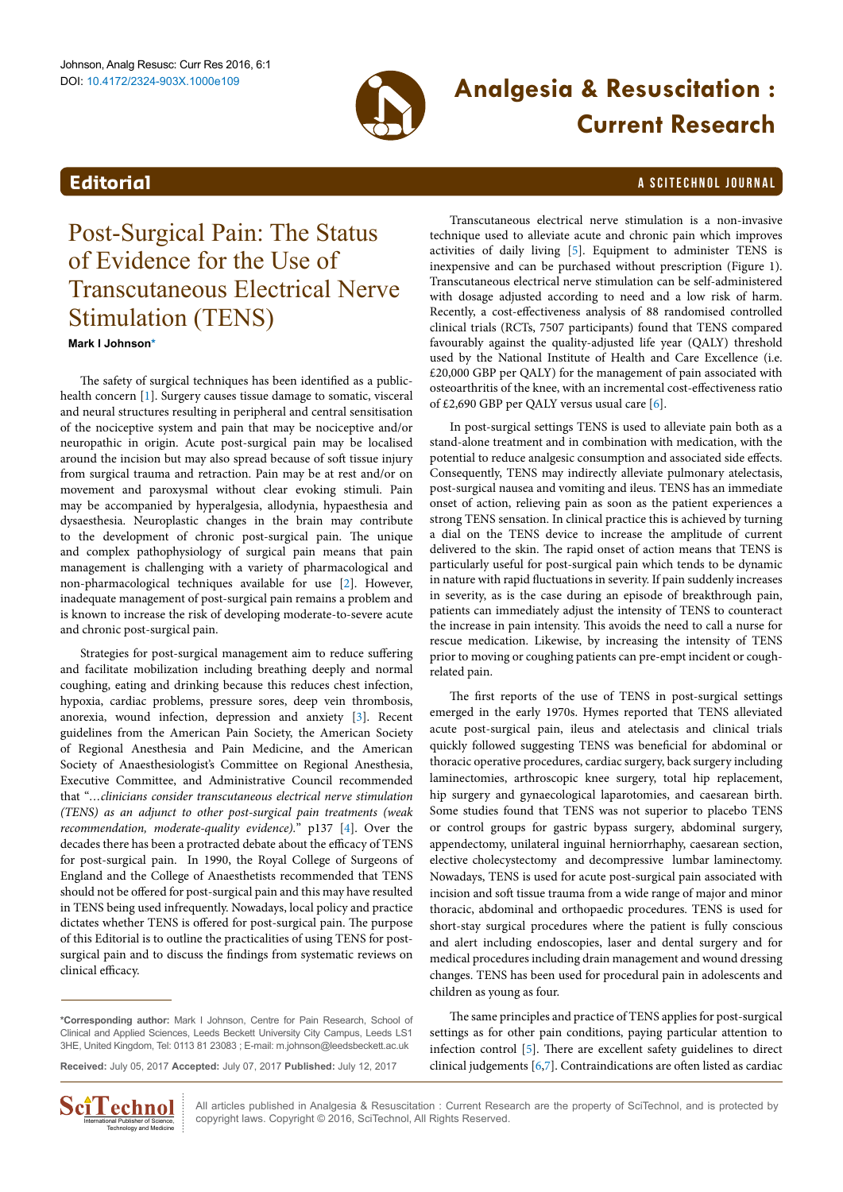

# **Analgesia & Resuscitation : Current Research**

# <span id="page-0-1"></span>**Editorial** a Scitechnol journal and the set of the set of the set of the set of the set of the set of the set of the set of the set of the set of the set of the set of the set of the set of the set of the set of the set o

Post-Surgical Pain: The Status of Evidence for the Use of Transcutaneous Electrical Nerve Stimulation (TENS)

**Mark I Johnson[\\*](#page-0-0)**

The safety of surgical techniques has been identified as a publichealth concern [[1](#page-2-0)]. Surgery causes tissue damage to somatic, visceral and neural structures resulting in peripheral and central sensitisation of the nociceptive system and pain that may be nociceptive and/or neuropathic in origin. Acute post-surgical pain may be localised around the incision but may also spread because of soft tissue injury from surgical trauma and retraction. Pain may be at rest and/or on movement and paroxysmal without clear evoking stimuli. Pain may be accompanied by hyperalgesia, allodynia, hypaesthesia and dysaesthesia. Neuroplastic changes in the brain may contribute to the development of chronic post-surgical pain. The unique and complex pathophysiology of surgical pain means that pain management is challenging with a variety of pharmacological and non-pharmacological techniques available for use [[2](#page-2-1)]. However, inadequate management of post-surgical pain remains a problem and is known to increase the risk of developing moderate-to-severe acute and chronic post-surgical pain.

Strategies for post-surgical management aim to reduce suffering and facilitate mobilization including breathing deeply and normal coughing, eating and drinking because this reduces chest infection, hypoxia, cardiac problems, pressure sores, deep vein thrombosis, anorexia, wound infection, depression and anxiety [[3\]](#page-2-2). Recent guidelines from the American Pain Society, the American Society of Regional Anesthesia and Pain Medicine, and the American Society of Anaesthesiologist's Committee on Regional Anesthesia, Executive Committee, and Administrative Council recommended that "*…clinicians consider transcutaneous electrical nerve stimulation (TENS) as an adjunct to other post-surgical pain treatments (weak recommendation, moderate-quality evidence).*" p137 [\[4](#page-2-3)]. Over the decades there has been a protracted debate about the efficacy of TENS for post-surgical pain. In 1990, the Royal College of Surgeons of England and the College of Anaesthetists recommended that TENS should not be offered for post-surgical pain and this may have resulted in TENS being used infrequently. Nowadays, local policy and practice dictates whether TENS is offered for post-surgical pain. The purpose of this Editorial is to outline the practicalities of using TENS for postsurgical pain and to discuss the findings from systematic reviews on clinical efficacy.

Transcutaneous electrical nerve stimulation is a non-invasive technique used to alleviate acute and chronic pain which improves activities of daily living [\[5](#page-2-4)]. Equipment to administer TENS is inexpensive and can be purchased without prescription (Figure 1). Transcutaneous electrical nerve stimulation can be self-administered with dosage adjusted according to need and a low risk of harm. Recently, a cost-effectiveness analysis of 88 randomised controlled clinical trials (RCTs, 7507 participants) found that TENS compared favourably against the quality-adjusted life year (QALY) threshold used by the National Institute of Health and Care Excellence (i.e. £20,000 GBP per QALY) for the management of pain associated with osteoarthritis of the knee, with an incremental cost-effectiveness ratio of £2,690 GBP per QALY versus usual care [[6\]](#page-2-5).

In post-surgical settings TENS is used to alleviate pain both as a stand-alone treatment and in combination with medication, with the potential to reduce analgesic consumption and associated side effects. Consequently, TENS may indirectly alleviate pulmonary atelectasis, post-surgical nausea and vomiting and ileus. TENS has an immediate onset of action, relieving pain as soon as the patient experiences a strong TENS sensation. In clinical practice this is achieved by turning a dial on the TENS device to increase the amplitude of current delivered to the skin. The rapid onset of action means that TENS is particularly useful for post-surgical pain which tends to be dynamic in nature with rapid fluctuations in severity. If pain suddenly increases in severity, as is the case during an episode of breakthrough pain, patients can immediately adjust the intensity of TENS to counteract the increase in pain intensity. This avoids the need to call a nurse for rescue medication. Likewise, by increasing the intensity of TENS prior to moving or coughing patients can pre-empt incident or coughrelated pain.

The first reports of the use of TENS in post-surgical settings emerged in the early 1970s. Hymes reported that TENS alleviated acute post-surgical pain, ileus and atelectasis and clinical trials quickly followed suggesting TENS was beneficial for abdominal or thoracic operative procedures, cardiac surgery, back surgery including laminectomies, arthroscopic knee surgery, total hip replacement, hip surgery and gynaecological laparotomies, and caesarean birth. Some studies found that TENS was not superior to placebo TENS or control groups for gastric bypass surgery, abdominal surgery, appendectomy, unilateral inguinal herniorrhaphy, caesarean section, elective cholecystectomy and decompressive lumbar laminectomy. Nowadays, TENS is used for acute post-surgical pain associated with incision and soft tissue trauma from a wide range of major and minor thoracic, abdominal and orthopaedic procedures. TENS is used for short-stay surgical procedures where the patient is fully conscious and alert including endoscopies, laser and dental surgery and for medical procedures including drain management and wound dressing changes. TENS has been used for procedural pain in adolescents and children as young as four.

<span id="page-0-0"></span>**\*Corresponding author:** Mark I Johnson, Centre for Pain Research, School of Clinical and Applied Sciences, Leeds Beckett University City Campus, Leeds LS1 3HE, United Kingdom, Tel: 0113 81 23083 ; E-mail: m.johnson@leedsbeckett.ac.uk The same principles and practice of TENS applies for post-surgical settings as for other pain conditions, paying particular attention to infection control [[5\]](#page-2-4). There are excellent safety guidelines to direct clinical judgements [\[6,](#page-2-5)[7\]](#page-2-6). Contraindications are often listed as cardiac

**Received:** July 05, 2017 **Accepted:** July 07, 2017 **Published:** July 12, 2017



All articles published in Analgesia & Resuscitation : Current Research are the property of SciTechnol, and is protected by copyright laws. Copyright © 2016, SciTechnol, All Rights Reserved.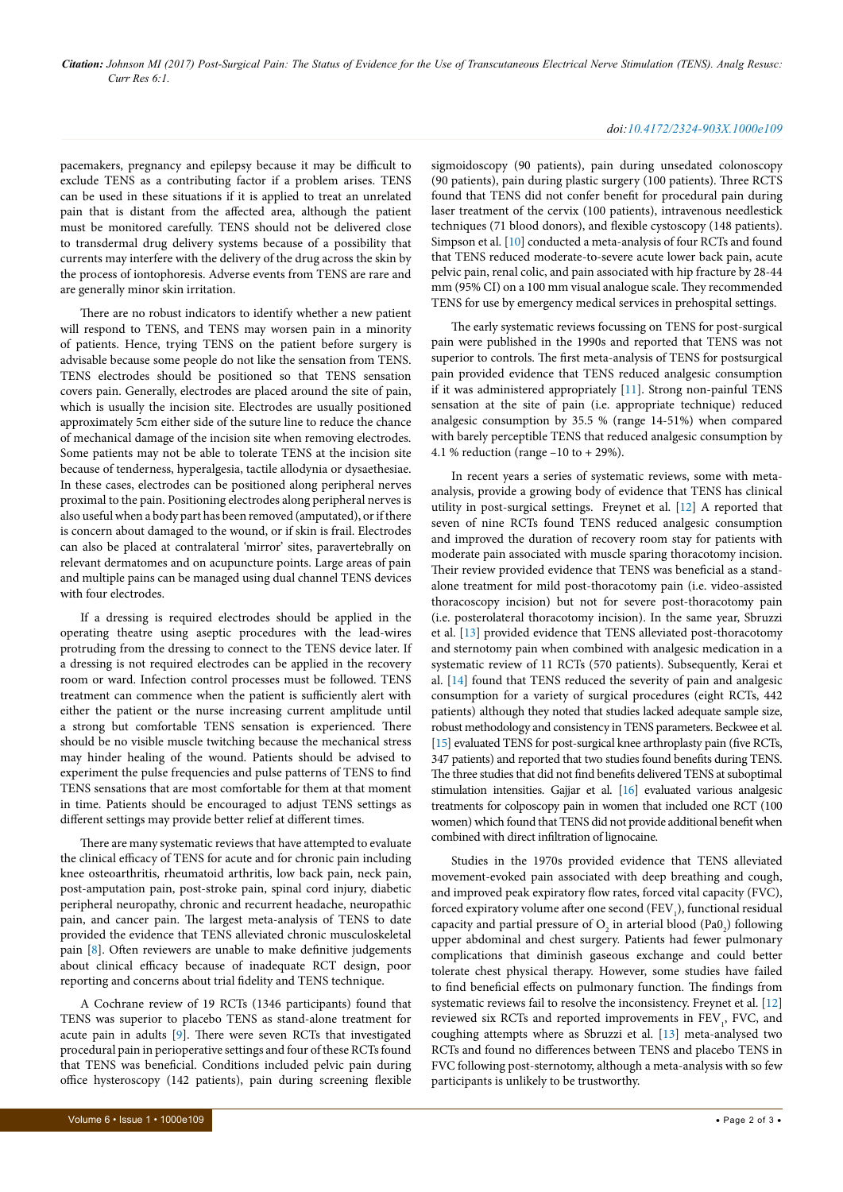*Citation: Johnson MI (2017) Post-Surgical Pain: The Status of Evidence for the Use of Transcutaneous Electrical Nerve Stimulation (TENS). Analg Resusc: Curr Res 6:1.*

# pacemakers, pregnancy and epilepsy because it may be difficult to exclude TENS as a contributing factor if a problem arises. TENS can be used in these situations if it is applied to treat an unrelated pain that is distant from the affected area, although the patient must be monitored carefully. TENS should not be delivered close to transdermal drug delivery systems because of a possibility that currents may interfere with the delivery of the drug across the skin by the process of iontophoresis. Adverse events from TENS are rare and are generally minor skin irritation.

There are no robust indicators to identify whether a new patient will respond to TENS, and TENS may worsen pain in a minority of patients. Hence, trying TENS on the patient before surgery is advisable because some people do not like the sensation from TENS. TENS electrodes should be positioned so that TENS sensation covers pain. Generally, electrodes are placed around the site of pain, which is usually the incision site. Electrodes are usually positioned approximately 5cm either side of the suture line to reduce the chance of mechanical damage of the incision site when removing electrodes. Some patients may not be able to tolerate TENS at the incision site because of tenderness, hyperalgesia, tactile allodynia or dysaethesiae. In these cases, electrodes can be positioned along peripheral nerves proximal to the pain. Positioning electrodes along peripheral nerves is also useful when a body part has been removed (amputated), or if there is concern about damaged to the wound, or if skin is frail. Electrodes can also be placed at contralateral 'mirror' sites, paravertebrally on relevant dermatomes and on acupuncture points. Large areas of pain and multiple pains can be managed using dual channel TENS devices with four electrodes.

If a dressing is required electrodes should be applied in the operating theatre using aseptic procedures with the lead-wires protruding from the dressing to connect to the TENS device later. If a dressing is not required electrodes can be applied in the recovery room or ward. Infection control processes must be followed. TENS treatment can commence when the patient is sufficiently alert with either the patient or the nurse increasing current amplitude until a strong but comfortable TENS sensation is experienced. There should be no visible muscle twitching because the mechanical stress may hinder healing of the wound. Patients should be advised to experiment the pulse frequencies and pulse patterns of TENS to find TENS sensations that are most comfortable for them at that moment in time. Patients should be encouraged to adjust TENS settings as different settings may provide better relief at different times.

There are many systematic reviews that have attempted to evaluate the clinical efficacy of TENS for acute and for chronic pain including knee osteoarthritis, rheumatoid arthritis, low back pain, neck pain, post-amputation pain, post-stroke pain, spinal cord injury, diabetic peripheral neuropathy, chronic and recurrent headache, neuropathic pain, and cancer pain. The largest meta-analysis of TENS to date provided the evidence that TENS alleviated chronic musculoskeletal pain [[8\]](#page-2-7). Often reviewers are unable to make definitive judgements about clinical efficacy because of inadequate RCT design, poor reporting and concerns about trial fidelity and TENS technique.

A Cochrane review of 19 RCTs (1346 participants) found that TENS was superior to placebo TENS as stand-alone treatment for acute pain in adults [[9\]](#page-2-8). There were seven RCTs that investigated procedural pain in perioperative settings and four of these RCTs found that TENS was beneficial. Conditions included pelvic pain during office hysteroscopy (142 patients), pain during screening flexible

#### *doi:10.4172/2324-903X.1000e109*

sigmoidoscopy (90 patients), pain during unsedated colonoscopy (90 patients), pain during plastic surgery (100 patients). Three RCTS found that TENS did not confer benefit for procedural pain during laser treatment of the cervix (100 patients), intravenous needlestick techniques (71 blood donors), and flexible cystoscopy (148 patients). Simpson et al. [\[10\]](#page-2-9) conducted a meta-analysis of four RCTs and found that TENS reduced moderate-to-severe acute lower back pain, acute pelvic pain, renal colic, and pain associated with hip fracture by 28-44 mm (95% CI) on a 100 mm visual analogue scale. They recommended TENS for use by emergency medical services in prehospital settings.

The early systematic reviews focussing on TENS for post-surgical pain were published in the 1990s and reported that TENS was not superior to controls. The first meta-analysis of TENS for postsurgical pain provided evidence that TENS reduced analgesic consumption if it was administered appropriately [\[11](#page-2-10)]. Strong non-painful TENS sensation at the site of pain (i.e. appropriate technique) reduced analgesic consumption by 35.5 % (range 14-51%) when compared with barely perceptible TENS that reduced analgesic consumption by 4.1 % reduction (range –10 to + 29%).

In recent years a series of systematic reviews, some with metaanalysis, provide a growing body of evidence that TENS has clinical utility in post-surgical settings. Freynet et al. [\[12\]](#page-2-11) A reported that seven of nine RCTs found TENS reduced analgesic consumption and improved the duration of recovery room stay for patients with moderate pain associated with muscle sparing thoracotomy incision. Their review provided evidence that TENS was beneficial as a standalone treatment for mild post-thoracotomy pain (i.e. video-assisted thoracoscopy incision) but not for severe post-thoracotomy pain (i.e. posterolateral thoracotomy incision). In the same year, Sbruzzi et al. [[13](#page-2-12)] provided evidence that TENS alleviated post-thoracotomy and sternotomy pain when combined with analgesic medication in a systematic review of 11 RCTs (570 patients). Subsequently, Kerai et al. [[14\]](#page-2-13) found that TENS reduced the severity of pain and analgesic consumption for a variety of surgical procedures (eight RCTs, 442 patients) although they noted that studies lacked adequate sample size, robust methodology and consistency in TENS parameters. Beckwee et al. [[15\]](#page-2-14) evaluated TENS for post-surgical knee arthroplasty pain (five RCTs, 347 patients) and reported that two studies found benefits during TENS. The three studies that did not find benefits delivered TENS at suboptimal stimulation intensities. Gajjar et al. [[16](#page-2-15)] evaluated various analgesic treatments for colposcopy pain in women that included one RCT (100 women) which found that TENS did not provide additional benefit when combined with direct infiltration of lignocaine.

Studies in the 1970s provided evidence that TENS alleviated movement-evoked pain associated with deep breathing and cough, and improved peak expiratory flow rates, forced vital capacity (FVC), forced expiratory volume after one second (FEV $_{1}$ ), functional residual capacity and partial pressure of  $O_2$  in arterial blood (Pa0<sub>2</sub>) following upper abdominal and chest surgery. Patients had fewer pulmonary complications that diminish gaseous exchange and could better tolerate chest physical therapy. However, some studies have failed to find beneficial effects on pulmonary function. The findings from systematic reviews fail to resolve the inconsistency. Freynet et al. [[12\]](#page-2-11) reviewed six RCTs and reported improvements in FEV<sub>1</sub>, FVC, and coughing attempts where as Sbruzzi et al. [\[13\]](#page-2-12) meta-analysed two RCTs and found no differences between TENS and placebo TENS in FVC following post-sternotomy, although a meta-analysis with so few participants is unlikely to be trustworthy.